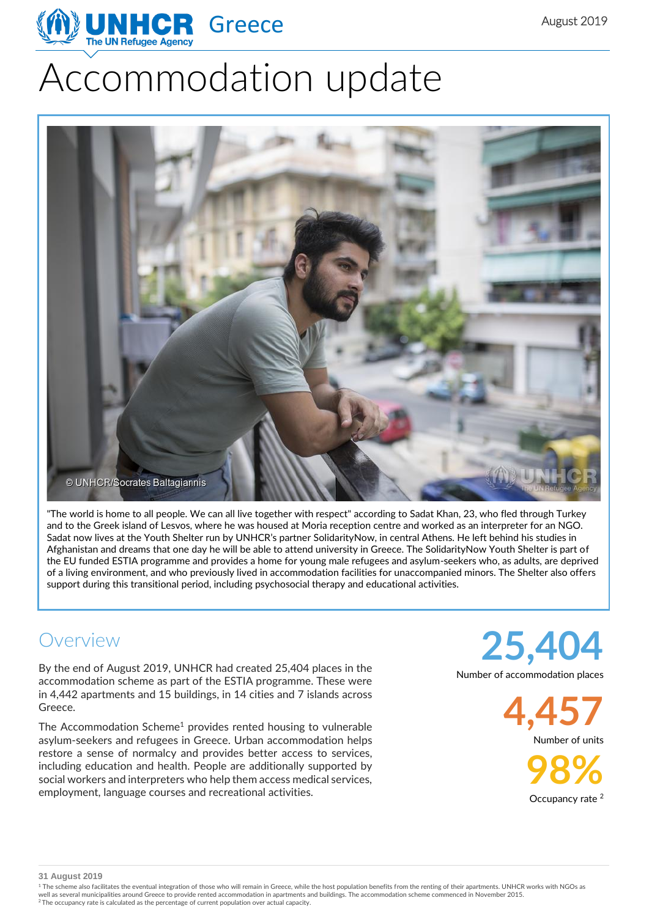

# Accommodation update



"The world is home to all people. We can all live together with respect" according to Sadat Khan, 23, who fled through Turkey and to the Greek island of Lesvos, where he was housed at Moria reception centre and worked as an interpreter for an NGO. Sadat now lives at the Youth Shelter run by UNHCR's partner SolidarityNow, in central Athens. He left behind his studies in Afghanistan and dreams that one day he will be able to attend university in Greece. The SolidarityNow Youth Shelter is part of the EU funded ESTIA programme and provides a home for young male refugees and asylum-seekers who, as adults, are deprived of a living environment, and who previously lived in accommodation facilities for unaccompanied minors. The Shelter also offers support during this transitional period, including psychosocial therapy and educational activities.

### Overview

By the end of August 2019, UNHCR had created 25,404 places in the accommodation scheme as part of the ESTIA programme. These were in 4,442 apartments and 15 buildings, in 14 cities and 7 islands across Greece.

The Accommodation Scheme<sup>1</sup> provides rented housing to vulnerable asylum-seekers and refugees in Greece. Urban accommodation helps restore a sense of normalcy and provides better access to services, including education and health. People are additionally supported by social workers and interpreters who help them access medical services, employment, language courses and recreational activities.

**25,404**

Number of accommodation places

**4,457** Number of units

> **98%** Occupancy rate <sup>2</sup>

**31 August 2019**

<sup>1</sup> The scheme also facilitates the eventual integration of those who will remain in Greece, while the host population benefits from the renting of their apartments. UNHCR works with NGOs as well as several municipalities around Greece to provide rented accommodation in apartments and buildings. The accommodation scheme commenced in November 2015.<br><sup>2</sup> The occupancy rate is calculated as the percentage of curre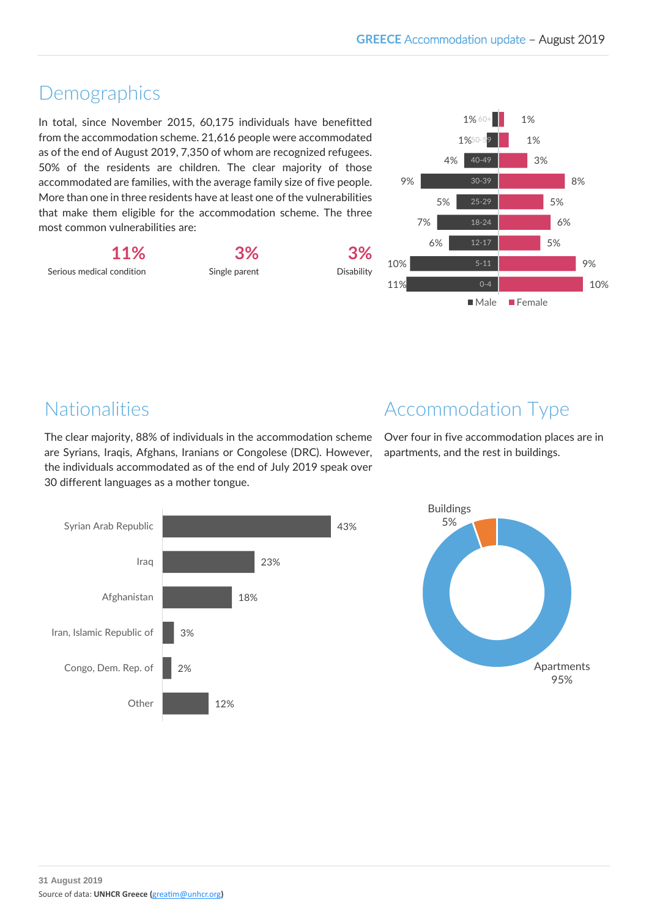## Demographics

In total, since November 2015, 60,175 individuals have benefitted from the accommodation scheme. 21,616 people were accommodated as of the end of August 2019, 7,350 of whom are recognized refugees. 50% of the residents are children. The clear majority of those accommodated are families, with the average family size of five people. More than one in three residents have at least one of the vulnerabilities that make them eligible for the accommodation scheme. The three most common vulnerabilities are:

**11%** Serious medical condition **3%**

Single parent

**3%** Disability



# Nationalities

The clear majority, 88% of individuals in the accommodation scheme are Syrians, Iraqis, Afghans, Iranians or Congolese (DRC). However, the individuals accommodated as of the end of July 2019 speak over 30 different languages as a mother tongue.



Over four in five accommodation places are in apartments, and the rest in buildings.



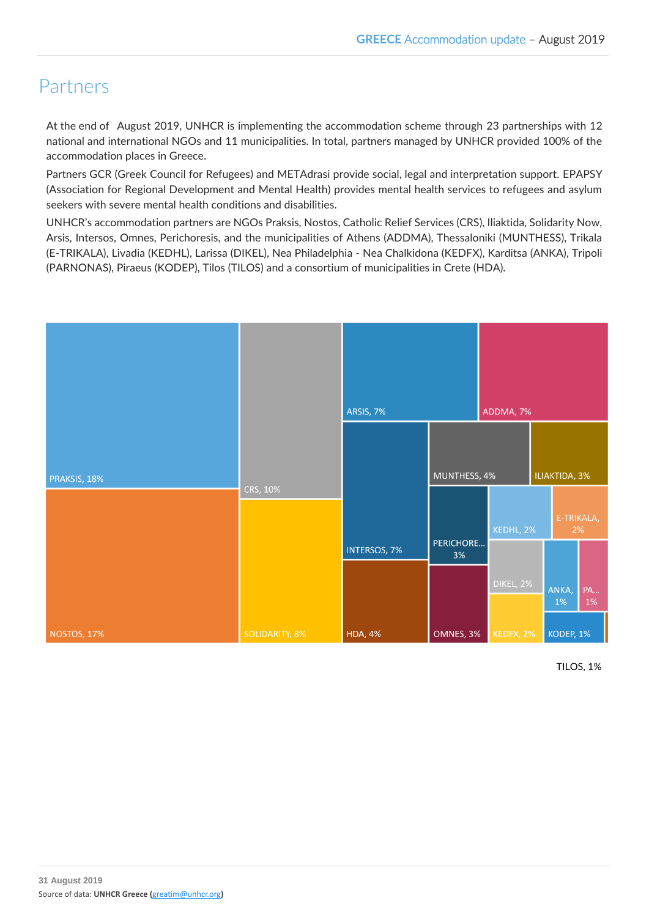## Partners

At the end of August 2019, UNHCR is implementing the accommodation scheme through 23 partnerships with 12 national and international NGOs and 11 municipalities. In total, partners managed by UNHCR provided 100% of the accommodation places in Greece.

Partners GCR (Greek Council for Refugees) and METAdrasi provide social, legal and interpretation support. EPAPSY (Association for Regional Development and Mental Health) provides mental health services to refugees and asylum seekers with severe mental health conditions and disabilities.

UNHCR's accommodation partners are NGOs Praksis, Nostos, Catholic Relief Services (CRS), Iliaktida, Solidarity Now, Arsis, Intersos, Omnes, Perichoresis, and the municipalities of Athens (ADDMA), Thessaloniki (MUNTHESS), Trikala (E-TRIKALA), Livadia (KEDHL), Larissa (DIKEL), Nea Philadelphia - Nea Chalkidona (KEDFX), Karditsa (ANKA), Tripoli (PARNONAS), Piraeus (KODEP), Tilos (TILOS) and a consortium of municipalities in Crete (HDA).



TILOS, 1%